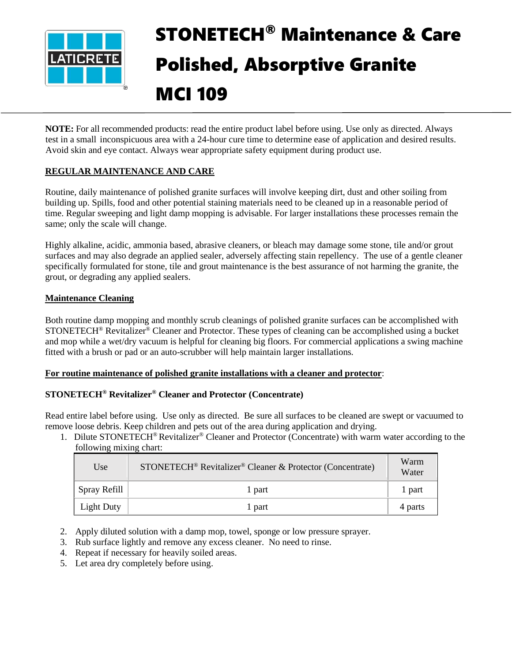

# STONETECH® Maintenance & Care Polished, Absorptive Granite MCI 109

**NOTE:** For all recommended products: read the entire product label before using. Use only as directed. Always test in a small inconspicuous area with a 24-hour cure time to determine ease of application and desired results. Avoid skin and eye contact. Always wear appropriate safety equipment during product use.

# **REGULAR MAINTENANCE AND CARE**

Routine, daily maintenance of polished granite surfaces will involve keeping dirt, dust and other soiling from building up. Spills, food and other potential staining materials need to be cleaned up in a reasonable period of time. Regular sweeping and light damp mopping is advisable. For larger installations these processes remain the same; only the scale will change.

Highly alkaline, acidic, ammonia based, abrasive cleaners, or bleach may damage some stone, tile and/or grout surfaces and may also degrade an applied sealer, adversely affecting stain repellency. The use of a gentle cleaner specifically formulated for stone, tile and grout maintenance is the best assurance of not harming the granite, the grout, or degrading any applied sealers.

# **Maintenance Cleaning**

Both routine damp mopping and monthly scrub cleanings of polished granite surfaces can be accomplished with STONETECH® Revitalizer® Cleaner and Protector. These types of cleaning can be accomplished using a bucket and mop while a wet/dry vacuum is helpful for cleaning big floors. For commercial applications a swing machine fitted with a brush or pad or an auto-scrubber will help maintain larger installations.

# **For routine maintenance of polished granite installations with a cleaner and protector**:

# **STONETECH® Revitalizer® Cleaner and Protector (Concentrate)**

Read entire label before using. Use only as directed. Be sure all surfaces to be cleaned are swept or vacuumed to remove loose debris. Keep children and pets out of the area during application and drying.

1. Dilute STONETECH® Revitalizer® Cleaner and Protector (Concentrate) with warm water according to the following mixing chart:

| Use               | STONETECH <sup>®</sup> Revitalizer® Cleaner & Protector (Concentrate) | Warm<br>Water |
|-------------------|-----------------------------------------------------------------------|---------------|
| Spray Refill      | 1 part                                                                | 1 part        |
| <b>Light Duty</b> | l part                                                                | 4 parts       |

- 2. Apply diluted solution with a damp mop, towel, sponge or low pressure sprayer.
- 3. Rub surface lightly and remove any excess cleaner. No need to rinse.
- 4. Repeat if necessary for heavily soiled areas.
- 5. Let area dry completely before using.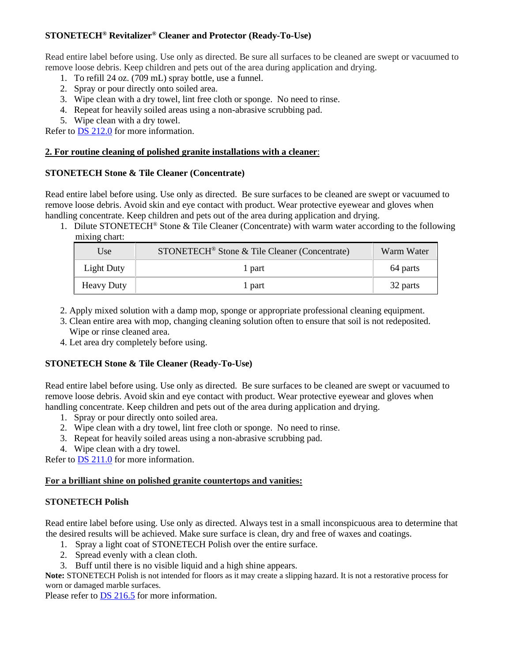# **STONETECH® Revitalizer® Cleaner and Protector (Ready-To-Use)**

Read entire label before using. Use only as directed. Be sure all surfaces to be cleaned are swept or vacuumed to remove loose debris. Keep children and pets out of the area during application and drying.

- 1. To refill 24 oz. (709 mL) spray bottle, use a funnel.
- 2. Spray or pour directly onto soiled area.
- 3. Wipe clean with a dry towel, lint free cloth or sponge. No need to rinse.
- 4. Repeat for heavily soiled areas using a non-abrasive scrubbing pad.
- 5. Wipe clean with a dry towel.

Refer to [DS 212.0](https://cdn.laticrete.com/~/media/product-documents/product-data-sheets/ds-212.ashx) for more information.

#### **2. For routine cleaning of polished granite installations with a cleaner**:

#### **STONETECH Stone & Tile Cleaner (Concentrate)**

Read entire label before using. Use only as directed. Be sure surfaces to be cleaned are swept or vacuumed to remove loose debris. Avoid skin and eye contact with product. Wear protective eyewear and gloves when handling concentrate. Keep children and pets out of the area during application and drying.

1. Dilute STONETECH® Stone & Tile Cleaner (Concentrate) with warm water according to the following mixing chart:

| Use               | STONETECH <sup>®</sup> Stone & Tile Cleaner (Concentrate) | Warm Water |
|-------------------|-----------------------------------------------------------|------------|
| Light Duty        | 1 part                                                    | 64 parts   |
| <b>Heavy Duty</b> | 1 part                                                    | 32 parts   |

- 2. Apply mixed solution with a damp mop, sponge or appropriate professional cleaning equipment.
- 3. Clean entire area with mop, changing cleaning solution often to ensure that soil is not redeposited. Wipe or rinse cleaned area.
- 4. Let area dry completely before using.

# **STONETECH Stone & Tile Cleaner (Ready-To-Use)**

Read entire label before using. Use only as directed. Be sure surfaces to be cleaned are swept or vacuumed to remove loose debris. Avoid skin and eye contact with product. Wear protective eyewear and gloves when handling concentrate. Keep children and pets out of the area during application and drying.

- 1. Spray or pour directly onto soiled area.
- 2. Wipe clean with a dry towel, lint free cloth or sponge. No need to rinse.
- 3. Repeat for heavily soiled areas using a non-abrasive scrubbing pad.
- 4. Wipe clean with a dry towel.

Refer to **DS 211.0** for more information.

#### **For a brilliant shine on polished granite countertops and vanities:**

#### **STONETECH Polish**

Read entire label before using. Use only as directed. Always test in a small inconspicuous area to determine that the desired results will be achieved. Make sure surface is clean, dry and free of waxes and coatings.

- 1. Spray a light coat of STONETECH Polish over the entire surface.
- 2. Spread evenly with a clean cloth.
- 3. Buff until there is no visible liquid and a high shine appears.

**Note:** STONETECH Polish is not intended for floors as it may create a slipping hazard. It is not a restorative process for worn or damaged marble surfaces.

Please refer to **DS** 216.5 for more information.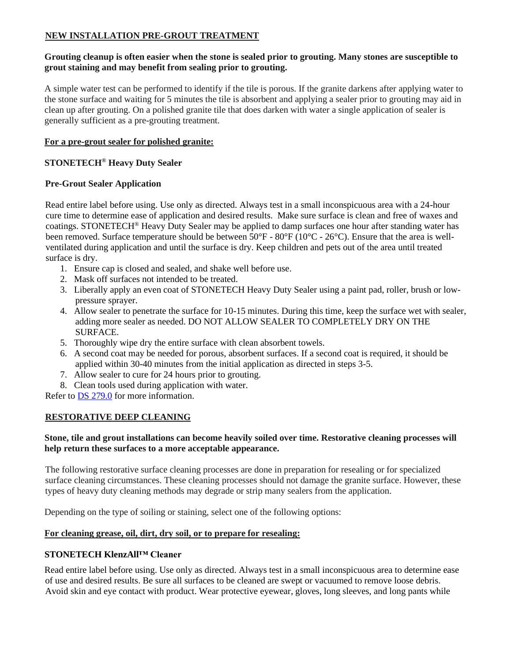# **NEW INSTALLATION PRE-GROUT TREATMENT**

#### **Grouting cleanup is often easier when the stone is sealed prior to grouting. Many stones are susceptible to grout staining and may benefit from sealing prior to grouting.**

A simple water test can be performed to identify if the tile is porous. If the granite darkens after applying water to the stone surface and waiting for 5 minutes the tile is absorbent and applying a sealer prior to grouting may aid in clean up after grouting. On a polished granite tile that does darken with water a single application of sealer is generally sufficient as a pre-grouting treatment.

#### **For a pre-grout sealer for polished granite:**

### **STONETECH® Heavy Duty Sealer**

#### **Pre-Grout Sealer Application**

Read entire label before using. Use only as directed. Always test in a small inconspicuous area with a 24-hour cure time to determine ease of application and desired results. Make sure surface is clean and free of waxes and coatings. STONETECH® Heavy Duty Sealer may be applied to damp surfaces one hour after standing water has been removed. Surface temperature should be between 50°F - 80°F (10°C - 26°C). Ensure that the area is wellventilated during application and until the surface is dry. Keep children and pets out of the area until treated surface is dry.

- 1. Ensure cap is closed and sealed, and shake well before use.
- 2. Mask off surfaces not intended to be treated.
- 3. Liberally apply an even coat of STONETECH Heavy Duty Sealer using a paint pad, roller, brush or lowpressure sprayer.
- 4. Allow sealer to penetrate the surface for 10-15 minutes. During this time, keep the surface wet with sealer, adding more sealer as needed. DO NOT ALLOW SEALER TO COMPLETELY DRY ON THE SURFACE.
- 5. Thoroughly wipe dry the entire surface with clean absorbent towels.
- 6. A second coat may be needed for porous, absorbent surfaces. If a second coat is required, it should be applied within 30-40 minutes from the initial application as directed in steps 3-5.
- 7. Allow sealer to cure for 24 hours prior to grouting.
- 8. Clean tools used during application with water.

Refer to [DS 279.0](https://cdn.laticrete.com/~/media/product-documents/product-data-sheets/ds-279.ashx) for more information.

#### **RESTORATIVE DEEP CLEANING**

#### **Stone, tile and grout installations can become heavily soiled over time. Restorative cleaning processes will help return these surfaces to a more acceptable appearance.**

The following restorative surface cleaning processes are done in preparation for resealing or for specialized surface cleaning circumstances. These cleaning processes should not damage the granite surface. However, these types of heavy duty cleaning methods may degrade or strip many sealers from the application.

Depending on the type of soiling or staining, select one of the following options:

#### **For cleaning grease, oil, dirt, dry soil, or to prepare for resealing:**

#### **STONETECH KlenzAll™ Cleaner**

Read entire label before using. Use only as directed. Always test in a small inconspicuous area to determine ease of use and desired results. Be sure all surfaces to be cleaned are swept or vacuumed to remove loose debris. Avoid skin and eye contact with product. Wear protective eyewear, gloves, long sleeves, and long pants while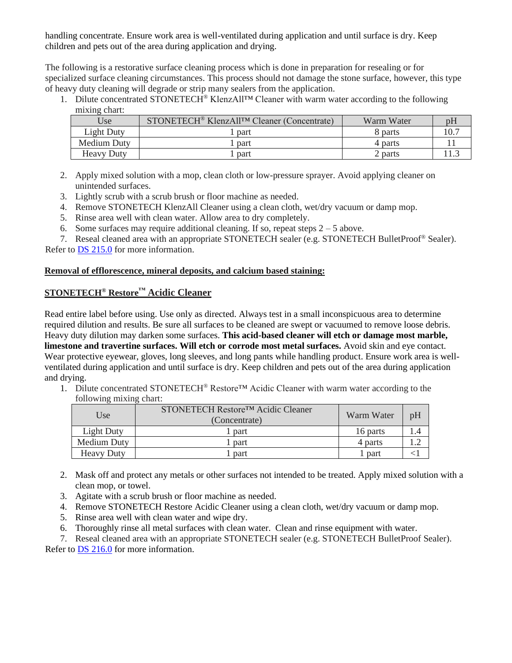handling concentrate. Ensure work area is well-ventilated during application and until surface is dry. Keep children and pets out of the area during application and drying.

The following is a restorative surface cleaning process which is done in preparation for resealing or for specialized surface cleaning circumstances. This process should not damage the stone surface, however, this type of heavy duty cleaning will degrade or strip many sealers from the application.

1. Dilute concentrated STONETECH® KlenzAll™ Cleaner with warm water according to the following mixing chart:

| Use               | STONETECH <sup>®</sup> KlenzAll <sup>TM</sup> Cleaner (Concentrate) | Warm Water |  |
|-------------------|---------------------------------------------------------------------|------------|--|
| Light Duty        | part                                                                | 8 parts    |  |
| Medium Duty       | part                                                                | 4 parts    |  |
| <b>Heavy Duty</b> | part                                                                | 2 parts    |  |

- 2. Apply mixed solution with a mop, clean cloth or low-pressure sprayer. Avoid applying cleaner on unintended surfaces.
- 3. Lightly scrub with a scrub brush or floor machine as needed.
- 4. Remove STONETECH KlenzAll Cleaner using a clean cloth, wet/dry vacuum or damp mop.
- 5. Rinse area well with clean water. Allow area to dry completely.
- 6. Some surfaces may require additional cleaning. If so, repeat steps  $2 5$  above.

7. Reseal cleaned area with an appropriate STONETECH sealer (e.g. STONETECH BulletProof® Sealer). Refer to [DS 215.0](https://cdn.laticrete.com/~/media/product-documents/product-data-sheets/ds-215.ashx) for more information.

#### **Removal of efflorescence, mineral deposits, and calcium based staining:**

# **STONETECH® Restore™ Acidic Cleaner**

Read entire label before using. Use only as directed. Always test in a small inconspicuous area to determine required dilution and results. Be sure all surfaces to be cleaned are swept or vacuumed to remove loose debris. Heavy duty dilution may darken some surfaces. **This acid-based cleaner will etch or damage most marble, limestone and travertine surfaces. Will etch or corrode most metal surfaces.** Avoid skin and eye contact. Wear protective eyewear, gloves, long sleeves, and long pants while handling product. Ensure work area is wellventilated during application and until surface is dry. Keep children and pets out of the area during application and drying.

1. Dilute concentrated STONETECH® Restore™ Acidic Cleaner with warm water according to the following mixing chart:

| Use               | STONETECH Restore™ Acidic Cleaner<br>(Concentrate) | Warm Water | pH |
|-------------------|----------------------------------------------------|------------|----|
| Light Duty        | . part                                             | 16 parts   |    |
| Medium Duty       | <sub>part</sub>                                    | 4 parts    |    |
| <b>Heavy Duty</b> | part                                               | part       |    |

- 2. Mask off and protect any metals or other surfaces not intended to be treated. Apply mixed solution with a clean mop, or towel.
- 3. Agitate with a scrub brush or floor machine as needed.
- 4. Remove STONETECH Restore Acidic Cleaner using a clean cloth, wet/dry vacuum or damp mop.
- 5. Rinse area well with clean water and wipe dry.
- 6. Thoroughly rinse all metal surfaces with clean water. Clean and rinse equipment with water.
- 7. Reseal cleaned area with an appropriate STONETECH sealer (e.g. STONETECH BulletProof Sealer).

Refer to [DS 216.0](https://cdn.laticrete.com/~/media/product-documents/product-data-sheets/ds-216.ashx) for more information.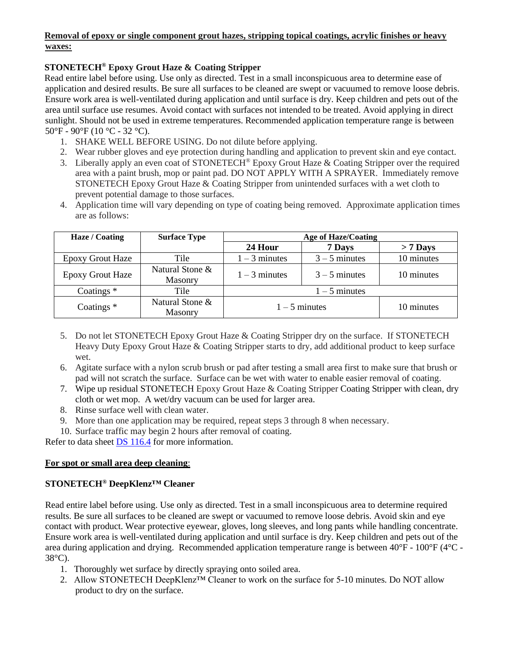# **Removal of epoxy or single component grout hazes, stripping topical coatings, acrylic finishes or heavy waxes:**

# **STONETECH® Epoxy Grout Haze & Coating Stripper**

Read entire label before using. Use only as directed. Test in a small inconspicuous area to determine ease of application and desired results. Be sure all surfaces to be cleaned are swept or vacuumed to remove loose debris. Ensure work area is well-ventilated during application and until surface is dry. Keep children and pets out of the area until surface use resumes. Avoid contact with surfaces not intended to be treated. Avoid applying in direct sunlight. Should not be used in extreme temperatures. Recommended application temperature range is between  $50^{\circ}$ F - 90 $^{\circ}$ F (10 $^{\circ}$ C - 32 $^{\circ}$ C).

- 1. SHAKE WELL BEFORE USING. Do not dilute before applying.
- 2. Wear rubber gloves and eye protection during handling and application to prevent skin and eye contact.
- 3. Liberally apply an even coat of STONETECH® Epoxy Grout Haze & Coating Stripper over the required area with a paint brush, mop or paint pad. DO NOT APPLY WITH A SPRAYER. Immediately remove STONETECH Epoxy Grout Haze & Coating Stripper from unintended surfaces with a wet cloth to prevent potential damage to those surfaces.
- 4. Application time will vary depending on type of coating being removed. Approximate application times are as follows:

| Haze / Coating          | <b>Surface Type</b>        | <b>Age of Haze/Coating</b> |                 |            |
|-------------------------|----------------------------|----------------------------|-----------------|------------|
|                         |                            | 24 Hour                    | 7 Days          | $> 7$ Days |
| <b>Epoxy Grout Haze</b> | Tile                       | $1 - 3$ minutes            | $3 - 5$ minutes | 10 minutes |
| <b>Epoxy Grout Haze</b> | Natural Stone &<br>Masonry | $1 - 3$ minutes            | $3 - 5$ minutes | 10 minutes |
| Coatings $*$            | Tile                       | $1 - 5$ minutes            |                 |            |
| Coatings $*$            | Natural Stone &<br>Masonry | $1 - 5$ minutes            |                 | 10 minutes |

- 5. Do not let STONETECH Epoxy Grout Haze & Coating Stripper dry on the surface. If STONETECH Heavy Duty Epoxy Grout Haze & Coating Stripper starts to dry, add additional product to keep surface wet.
- 6. Agitate surface with a nylon scrub brush or pad after testing a small area first to make sure that brush or pad will not scratch the surface. Surface can be wet with water to enable easier removal of coating.
- 7. Wipe up residual STONETECH Epoxy Grout Haze & Coating Stripper Coating Stripper with clean, dry cloth or wet mop. A wet/dry vacuum can be used for larger area.
- 8. Rinse surface well with clean water.
- 9. More than one application may be required, repeat steps 3 through 8 when necessary.
- 10. Surface traffic may begin 2 hours after removal of coating.

Refer to data sheet [DS 116.4](https://cdn.laticrete.com/~/media/product-documents/product-data-sheets/ds1664_stonetech-epoxy-grout-haze-coating-stripper.ashx) for more information.

# **For spot or small area deep cleaning**:

# **STONETECH® DeepKlenz™ Cleaner**

Read entire label before using. Use only as directed. Test in a small inconspicuous area to determine required results. Be sure all surfaces to be cleaned are swept or vacuumed to remove loose debris. Avoid skin and eye contact with product. Wear protective eyewear, gloves, long sleeves, and long pants while handling concentrate. Ensure work area is well-ventilated during application and until surface is dry. Keep children and pets out of the area during application and drying. Recommended application temperature range is between 40°F - 100°F (4°C - 38°C).

- 1. Thoroughly wet surface by directly spraying onto soiled area.
- 2. Allow STONETECH DeepKlenz™ Cleaner to work on the surface for 5-10 minutes. Do NOT allow product to dry on the surface.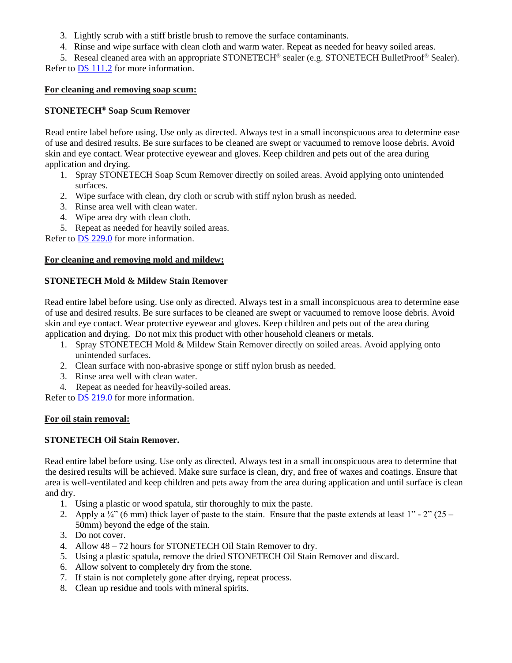- 3. Lightly scrub with a stiff bristle brush to remove the surface contaminants.
- 4. Rinse and wipe surface with clean cloth and warm water. Repeat as needed for heavy soiled areas.

5. Reseal cleaned area with an appropriate STONETECH® sealer (e.g. STONETECH BulletProof® Sealer). Refer to [DS 111.2](https://cdn.laticrete.com/~/media/product-documents/product-data-sheets/ds-1112.ashx) for more information.

## **For cleaning and removing soap scum:**

# **STONETECH® Soap Scum Remover**

Read entire label before using. Use only as directed. Always test in a small inconspicuous area to determine ease of use and desired results. Be sure surfaces to be cleaned are swept or vacuumed to remove loose debris. Avoid skin and eye contact. Wear protective eyewear and gloves. Keep children and pets out of the area during application and drying.

- 1. Spray STONETECH Soap Scum Remover directly on soiled areas. Avoid applying onto unintended surfaces.
- 2. Wipe surface with clean, dry cloth or scrub with stiff nylon brush as needed.
- 3. Rinse area well with clean water.
- 4. Wipe area dry with clean cloth.
- 5. Repeat as needed for heavily soiled areas.

Refer to [DS 229.0](https://cdn.laticrete.com/~/media/product-documents/product-data-sheets/ds-229.ashx) for more information.

#### **For cleaning and removing mold and mildew:**

## **STONETECH Mold & Mildew Stain Remover**

Read entire label before using. Use only as directed. Always test in a small inconspicuous area to determine ease of use and desired results. Be sure surfaces to be cleaned are swept or vacuumed to remove loose debris. Avoid skin and eye contact. Wear protective eyewear and gloves. Keep children and pets out of the area during application and drying. Do not mix this product with other household cleaners or metals.

- 1. Spray STONETECH Mold & Mildew Stain Remover directly on soiled areas. Avoid applying onto unintended surfaces.
- 2. Clean surface with non-abrasive sponge or stiff nylon brush as needed.
- 3. Rinse area well with clean water.
- 4. Repeat as needed for heavily-soiled areas.

Refer to [DS 219.0](https://cdn.laticrete.com/~/media/product-documents/product-data-sheets/ds-219.ashx) for more information.

#### **For oil stain removal:**

# **STONETECH Oil Stain Remover.**

Read entire label before using. Use only as directed. Always test in a small inconspicuous area to determine that the desired results will be achieved. Make sure surface is clean, dry, and free of waxes and coatings. Ensure that area is well-ventilated and keep children and pets away from the area during application and until surface is clean and dry.

- 1. Using a plastic or wood spatula, stir thoroughly to mix the paste.
- 2. Apply a  $\frac{1}{4}$  (6 mm) thick layer of paste to the stain. Ensure that the paste extends at least 1" 2" (25 50mm) beyond the edge of the stain.
- 3. Do not cover.
- 4. Allow 48 72 hours for STONETECH Oil Stain Remover to dry.
- 5. Using a plastic spatula, remove the dried STONETECH Oil Stain Remover and discard.
- 6. Allow solvent to completely dry from the stone.
- 7. If stain is not completely gone after drying, repeat process.
- 8. Clean up residue and tools with mineral spirits.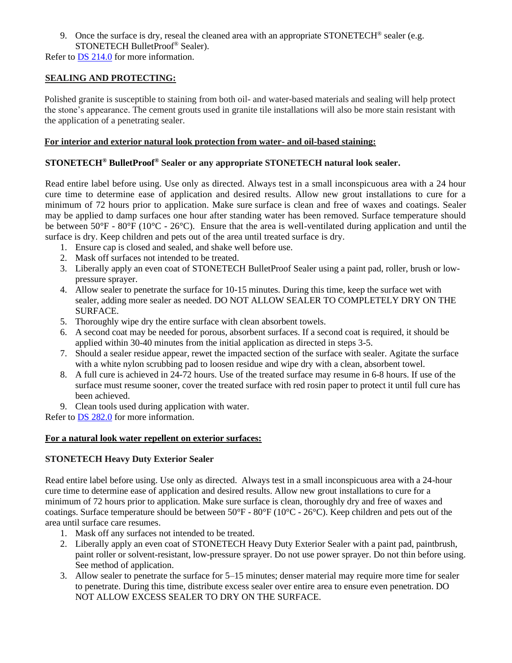9. Once the surface is dry, reseal the cleaned area with an appropriate STONETECH® sealer (e.g. STONETECH BulletProof® Sealer).

Refer to [DS 214.0](https://cdn.laticrete.com/~/media/product-documents/product-data-sheets/ds-214.ashx) for more information.

# **SEALING AND PROTECTING:**

Polished granite is susceptible to staining from both oil- and water-based materials and sealing will help protect the stone's appearance. The cement grouts used in granite tile installations will also be more stain resistant with the application of a penetrating sealer.

#### **For interior and exterior natural look protection from water- and oil-based staining:**

## **STONETECH® BulletProof® Sealer or any appropriate STONETECH natural look sealer.**

Read entire label before using. Use only as directed. Always test in a small inconspicuous area with a 24 hour cure time to determine ease of application and desired results. Allow new grout installations to cure for a minimum of 72 hours prior to application. Make sure surface is clean and free of waxes and coatings. Sealer may be applied to damp surfaces one hour after standing water has been removed. Surface temperature should be between  $50^{\circ}F - 80^{\circ}F (10^{\circ}C - 26^{\circ}C)$ . Ensure that the area is well-ventilated during application and until the surface is dry. Keep children and pets out of the area until treated surface is dry.

- 1. Ensure cap is closed and sealed, and shake well before use.
- 2. Mask off surfaces not intended to be treated.
- 3. Liberally apply an even coat of STONETECH BulletProof Sealer using a paint pad, roller, brush or lowpressure sprayer.
- 4. Allow sealer to penetrate the surface for 10-15 minutes. During this time, keep the surface wet with sealer, adding more sealer as needed. DO NOT ALLOW SEALER TO COMPLETELY DRY ON THE SURFACE.
- 5. Thoroughly wipe dry the entire surface with clean absorbent towels.
- 6. A second coat may be needed for porous, absorbent surfaces. If a second coat is required, it should be applied within 30-40 minutes from the initial application as directed in steps 3-5.
- 7. Should a sealer residue appear, rewet the impacted section of the surface with sealer. Agitate the surface with a white nylon scrubbing pad to loosen residue and wipe dry with a clean, absorbent towel.
- 8. A full cure is achieved in 24-72 hours. Use of the treated surface may resume in 6-8 hours. If use of the surface must resume sooner, cover the treated surface with red rosin paper to protect it until full cure has been achieved.
- 9. Clean tools used during application with water.

Refer to DS [282.0](https://cdn.laticrete.com/~/media/product-documents/product-data-sheets/ds-282.ashx) for more information.

#### **For a natural look water repellent on exterior surfaces:**

## **STONETECH Heavy Duty Exterior Sealer**

Read entire label before using. Use only as directed. Always test in a small inconspicuous area with a 24-hour cure time to determine ease of application and desired results. Allow new grout installations to cure for a minimum of 72 hours prior to application. Make sure surface is clean, thoroughly dry and free of waxes and coatings. Surface temperature should be between 50°F - 80°F (10°C - 26°C). Keep children and pets out of the area until surface care resumes.

- 1. Mask off any surfaces not intended to be treated.
- 2. Liberally apply an even coat of STONETECH Heavy Duty Exterior Sealer with a paint pad, paintbrush, paint roller or solvent-resistant, low-pressure sprayer. Do not use power sprayer. Do not thin before using. See method of application.
- 3. Allow sealer to penetrate the surface for 5–15 minutes; denser material may require more time for sealer to penetrate. During this time, distribute excess sealer over entire area to ensure even penetration. DO NOT ALLOW EXCESS SEALER TO DRY ON THE SURFACE.